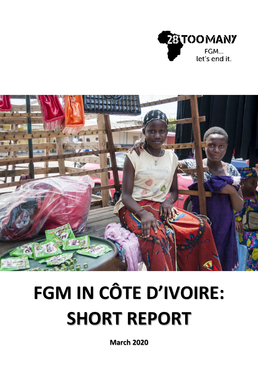



# **FGM IN CÔTE D'IVOIRE: SHORT REPORT**

**March 2020**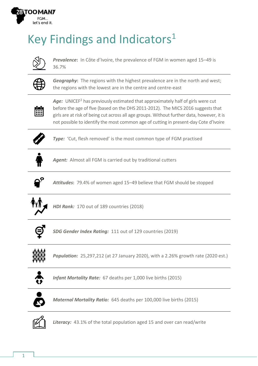

# Key Findings and Indicators<sup>1</sup>



*Prevalence***:** In Côte d'Ivoire, the prevalence of FGM in women aged 15–49 is 36.7%



**Geography:** The regions with the highest prevalence are in the north and west; the regions with the lowest are in the centre and centre-east



Age: UNICEF<sup>2</sup> has previously estimated that approximately half of girls were cut before the age of five (based on the DHS 2011-2012). The MICS 2016 suggests that girls are at risk of being cut across all age groups. Without further data, however, it is not possible to identify the most common age of cutting in present-day Cote d'Ivoire



**Type:** 'Cut, flesh removed' is the most common type of FGM practised



*Agent:* Almost all FGM is carried out by traditional cutters



*Attitudes***:** 79.4% of women aged 15–49 believe that FGM should be stopped



*HDI Rank:* 170 out of 189 countries (2018)



*SDG Gender Index Rating:* 111 out of 129 countries (2019)



*Population:* 25,297,212 (at 27 January 2020), with a 2.26% growth rate (2020 est.)



*Infant Mortality Rate:* 67 deaths per 1,000 live births (2015)



*Maternal Mortality Ratio:* 645 deaths per 100,000 live births (2015)



*Literacy:* 43.1% of the total population aged 15 and over can read/write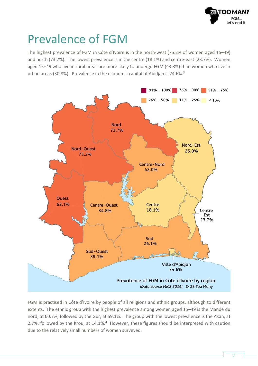

#### Prevalence of FGM

The highest prevalence of FGM in Côte d'Ivoire is in the north-west (75.2% of women aged 15–49) and north (73.7%). The lowest prevalence is in the centre (18.1%) and centre-east (23.7%). Women aged 15–49 who live in rural areas are more likely to undergo FGM (43.8%) than women who live in urban areas (30.8%). Prevalence in the economic capital of Abidjan is 24.6%.<sup>3</sup>



FGM is practised in Côte d'Ivoire by people of all religions and ethnic groups, although to different extents. The ethnic group with the highest prevalence among women aged 15–49 is the Mandé du nord, at 60.7%, followed by the Gur, at 59.1%. The group with the lowest prevalence is the Akan, at 2.7%, followed by the Krou, at 14.1%.<sup>4</sup> However, these figures should be interpreted with caution due to the relatively small numbers of women surveyed.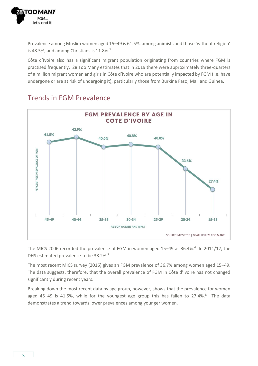

Prevalence among Muslim women aged 15–49 is 61.5%, among animists and those 'without religion' is 48.5%, and among Christians is 11.8%.<sup>5</sup>

Côte d'Ivoire also has a significant migrant population originating from countries where FGM is practised frequently. 28 Too Many estimates that in 2019 there were approximately three-quarters of a million migrant women and girls in Côte d'Ivoire who are potentially impacted by FGM (i.e. have undergone or are at risk of undergoing it), particularly those from Burkina Faso, Mali and Guinea.



#### Trends in FGM Prevalence

The MICS 2006 recorded the prevalence of FGM in women aged 15–49 as 36.4%.<sup>6</sup> In 2011/12, the DHS estimated prevalence to be 38.2%.<sup>7</sup>

The most recent MICS survey (2016) gives an FGM prevalence of 36.7% among women aged 15–49. The data suggests, therefore, that the overall prevalence of FGM in Côte d'Ivoire has not changed significantly during recent years.

Breaking down the most recent data by age group, however, shows that the prevalence for women aged 45-49 is 41.5%, while for the youngest age group this has fallen to 27.4%.<sup>8</sup> The data demonstrates a trend towards lower prevalences among younger women.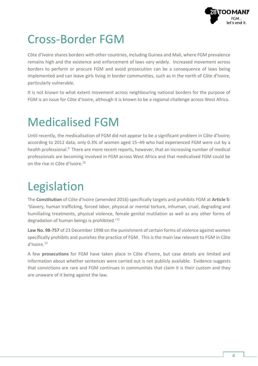

### Cross-Border FGM

Côte d'Ivoire shares borders with other countries, including Guinea and Mali, where FGM prevalence remains high and the existence and enforcement of laws vary widely. Increased movement across borders to perform or procure FGM and avoid prosecution can be a consequence of laws being implemented and can leave girls living in border communities, such as in the north of Côte d'Ivoire, particularly vulnerable.

It is not known to what extent movement across neighbouring national borders for the purpose of FGM is an issue for Côte d'Ivoire, although it is known to be a regional challenge across West Africa.

# Medicalised FGM

Until recently, the medicalisation of FGM did not appear to be a significant problem in Côte d'Ivoire; according to 2012 data, only 0.3% of women aged 15–49 who had experienced FGM were cut by a health professional.<sup>9</sup> There are more recent reports, however, that an increasing number of medical professionals are becoming involved in FGM across West Africa and that medicalised FGM could be on the rise in Côte d'Ivoire.<sup>10</sup>

# Legislation

The **Constitution** of Côte d'Ivoire (amended 2016) specifically targets and prohibits FGM at **Article 5**: 'Slavery, human trafficking, forced labor, physical or mental torture, inhuman, cruel, degrading and humiliating treatments, physical violence, female genital mutilation as well as any other forms of degradation of human beings is prohibited.<sup>'11</sup>

**Law No. 98-757** of 23 December 1998 on the punishment of certain forms of violence against women specifically prohibits and punishes the practice of FGM. This is the main law relevant to FGM in Côte d'Ivoire.<sup>12</sup>

A few **prosecutions** for FGM have taken place in Côte d'Ivoire, but case details are limited and information about whether sentences were carried out is not publicly available. Evidence suggests that convictions are rare and FGM continues in communities that claim it is their custom and they are unaware of it being against the law.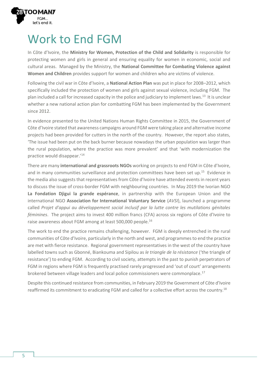

#### Work to End FGM

In Côte d'Ivoire, the **Ministry for Women, Protection of the Child and Solidarity** is responsible for protecting women and girls in general and ensuring equality for women in economic, social and cultural areas. Managed by the Ministry, the **National Committee for Combating Violence against Women and Children** provides support for women and children who are victims of violence.

Following the civil war in Côte d'Ivoire, a **National Action Plan** was put in place for 2008–2012, which specifically included the protection of women and girls against sexual violence, including FGM. The plan included a call for increased capacity in the police and judiciary to implement laws.<sup>13</sup> It is unclear whether a new national action plan for combatting FGM has been implemented by the Government since 2012.

In evidence presented to the United Nations Human Rights Committee in 2015, the Government of Côte d'Ivoire stated that awareness campaigns around FGM were taking place and alternative income projects had been provided for cutters in the north of the country. However, the report also states, 'The issue had been put on the back burner because nowadays the urban population was larger than the rural population, where the practice was more prevalent' and that 'with modernization the practice would disappear.'<sup>14</sup>

There are many **international and grassroots NGOs** working on projects to end FGM in Côte d'Ivoire, and in many communities surveillance and protection committees have been set up.<sup>15</sup> Evidence in the media also suggests that representatives from Côte d'Ivoire have attended events in recent years to discuss the issue of cross-border FGM with neighbouring countries. In May 2019 the Ivorian NGO **La Fondation Djigui la grande espérance**, in partnership with the European Union and the international NGO **Association for International Voluntary Service** (*AVSI*), launched a programme called *Projet d'appui au développement social inclusif par la lutte contre les mutilations génitales féminines*. The project aims to invest 400 million francs (CFA) across six regions of Côte d'Ivoire to raise awareness about FGM among at least 500,000 people.<sup>16</sup>

The work to end the practice remains challenging, however. FGM is deeply entrenched in the rural communities of Côte d'Ivoire, particularly in the north and west, and programmes to end the practice are met with fierce resistance. Regional government representatives in the west of the country have labelled towns such as Gbonné, Biankouma and Sipilou as *le triangle de la résistance* ('the triangle of resistance') to ending FGM. According to civil society, attempts in the past to punish perpetrators of FGM in regions where FGM is frequently practised rarely progressed and 'out of court' arrangements brokered between village leaders and local police commissioners were commonplace.<sup>17</sup>

Despite this continued resistance from communities, in February 2019 the Government of Côte d'Ivoire reaffirmed its commitment to eradicating FGM and called for a collective effort across the country.<sup>18</sup>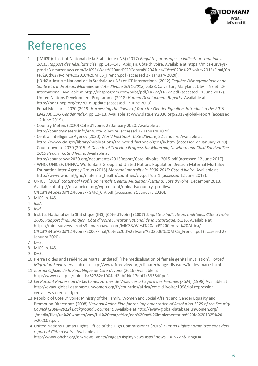

## References

- 1 **('MICS'):** Institut National de la Statistique (INS) (2017) *Enquête par grappes à indicateurs multiples, 2016, Rapport des Résultats clés*, pp.145–148*.* Abidjan, Côte d'Ivoire. Available at [https://mics-surveys](https://mics-surveys-prod.s3.amazonaws.com/MICS5/West%20and%20Central%20Africa/Côte%20d%27Ivoire/2016/Final/Cote%20d%27Ivoire%202016%20MICS_French.pdf)[prod.s3.amazonaws.com/MICS5/West%20and%20Central%20Africa/Côte%20d%27Ivoire/2016/Final/Co](https://mics-surveys-prod.s3.amazonaws.com/MICS5/West%20and%20Central%20Africa/Côte%20d%27Ivoire/2016/Final/Cote%20d%27Ivoire%202016%20MICS_French.pdf) [te%20d%27Ivoire%202016%20MICS\\_French.pdf](https://mics-surveys-prod.s3.amazonaws.com/MICS5/West%20and%20Central%20Africa/Côte%20d%27Ivoire/2016/Final/Cote%20d%27Ivoire%202016%20MICS_French.pdf) (accessed 27 January 2020).
	- **('DHS'):** Institut National de la Statistique (INS) et ICF International (2012) *Enquête Démographique et de Santé et à Indicateurs Multiples de Côte d'Ivoire 2011-2012*, p.338. Calverton, Maryland, USA : INS et ICF International. Available at<http://dhsprogram.com/pubs/pdf/FR272/FR272.pdf> (accessed 11 June 2017).
	- United Nations Development Programme (2018) *Human Development Reports*. Available at <http://hdr.undp.org/en/2018-update> (accessed 12 June 2019).
	- Equal Measures 2030 (2019) *Harnessing the Power of Data for Gender Equality: Introducing the 2019 EM2030 SDG Gender Index*, pp.12–13. Available at [www.data.em2030.org/2019-global-report](http://www.data.em2030.org/2019-global-report) (accessed 12 June 2019).
	- Country Meters (2020) Côte d'Ivoire, 27 January 2020. Available at [http://countrymeters.info/en/Cote\\_d'Ivoire](http://countrymeters.info/en/Cote_d) (accessed 27 January 2020).
	- Central Intelligence Agency (2020) *World Factbook: Côte d'Ivoire*, 22 January. Available at <https://www.cia.gov/library/publications/the-world-factbook/geos/iv.html> (accessed 27 January 2020).
	- Countdown to 2030 (2015) *A Decade of Tracking Progress for Maternal, Newborn and Child Survival The 2015 Report: Côte d'Ivoire.* Available at [http://countdown2030.org/documents/2015Report/Cote\\_dIvoire\\_2015.pdf](http://countdown2030.org/documents/2015Report/Cote_dIvoire_2015.pdf) (accessed 12 June 2017).
	- WHO, UNICEF, UNFPA, World Bank Group and United Nations Population Division Maternal Mortality Estimation Inter-Agency Group (2015) *Maternal mortality in 1990-2015: Côte d'Ivoire*. Available at [http://www.who.int/gho/maternal\\_health/countries/civ.pdf?ua=1](http://www.who.int/gho/maternal_health/countries/civ.pdf?ua=1) (accessed 12 June 2017).
- 2 UNICEF (2013) *Statistical Profile on Female Genital Mutilation/Cutting: Côte d'Ivoire*, December 2013. Available at [http://data.unicef.org/wp-content/uploads/country\\_profiles/](http://data.unicef.org/wp-content/uploads/country_profiles/C%C3%B4te%20d%27Ivoire/FGMC_CIV.pdf) [C%C3%B4te%20d%27Ivoire/FGMC\\_CIV.pdf](http://data.unicef.org/wp-content/uploads/country_profiles/C%C3%B4te%20d%27Ivoire/FGMC_CIV.pdf) (accessed 31 January 2020)*.*
- 3 MICS, p.145.
- 4 *Ibid*.
- 5 *Ibid*.
- 6 Institut National de la Statistique (INS) [Côte d'Ivoire] (2007) *Enquête à indicateurs multiples, Côte d'Ivoire 2006, Rapport final, Abidjan, Côte d'Ivoire : Institut National de la Statistique*, p.116. Available at [https://mics-surveys-prod.s3.amazonaws.com/MICS3/West%20and%20Central%20Africa/](https://mics-surveys-prod.s3.amazonaws.com/MICS3/West%20and%20Central%20Africa/C%C3%B4te%20d%27Ivoire/2006/Final/Cote%20d%27Ivoire%202006%20MICS_French.pdf) [C%C3%B4te%20d%27Ivoire/2006/Final/Cote%20d%27Ivoire%202006%20MICS\\_French.pdf](https://mics-surveys-prod.s3.amazonaws.com/MICS3/West%20and%20Central%20Africa/C%C3%B4te%20d%27Ivoire/2006/Final/Cote%20d%27Ivoire%202006%20MICS_French.pdf) (accessed 27 January 2020).
- 7 DHS.
- 8 MICS, p.145.
- 9 DHS.
- 10 Pierre Foldes and Frédérique Martz (undated) 'The medicalisation of female genital mutilation', *Forced Migration Review*. Available a[t http://www.fmreview.org/climatechange-disasters/foldes-martz.html.](http://www.fmreview.org/climatechange-disasters/foldes-martz.html)
- 11 *Journal Officiel de la Republique de Cote d'Ivoire* (2016) Available at [http://www.caidp.ci/uploads/52782e1004ad2bbfd4d17dbf1c33384f.pdf.](http://www.caidp.ci/uploads/52782e1004ad2bbfd4d17dbf1c33384f.pdf)
- 12 Loi Portant Répression de Certaines Formes de Violences à l'Égard des Femmes (FGM) (1998) Available at [http://evaw-global-database.unwomen.org/fr/countries/africa/cote-d-ivoire/1998/loi-repression](http://evaw-global-database.unwomen.org/fr/countries/africa/cote-d-ivoire/1998/loi-repression-certaines-violences-fgm)[certaines-violences-fgm.](http://evaw-global-database.unwomen.org/fr/countries/africa/cote-d-ivoire/1998/loi-repression-certaines-violences-fgm)
- 13 Republic of Cote D'Ivoire; Ministry of the Family, Women and Social Affairs; and Gender Equality and Promotion Directorate (2008) *National Action Plan for the Implementation of Resolution 1325 of the Security Council (2008–2012) Background Document*. Available a[t http://evaw-global-database.unwomen.org/](http://evaw-global-database.unwomen.org/-/media/files/un%20women/vaw/full%20text/africa/nap%20on%20implementation%20fo%201325%20-%202007.pdf) [-/media/files/un%20women/vaw/full%20text/africa/nap%20on%20implementation%20fo%201325%20-](http://evaw-global-database.unwomen.org/-/media/files/un%20women/vaw/full%20text/africa/nap%20on%20implementation%20fo%201325%20-%202007.pdf) [%202007.pdf.](http://evaw-global-database.unwomen.org/-/media/files/un%20women/vaw/full%20text/africa/nap%20on%20implementation%20fo%201325%20-%202007.pdf)
- 14 United Nations Human Rights Office of the High Commissioner (2015) *Human Rights Committee considers report of Côte d'Ivoire.* Available at

[http://www.ohchr.org/en/NewsEvents/Pages/DisplayNews.aspx?NewsID=15722&LangID=E.](http://www.ohchr.org/en/NewsEvents/Pages/DisplayNews.aspx?NewsID=15722&LangID=E)